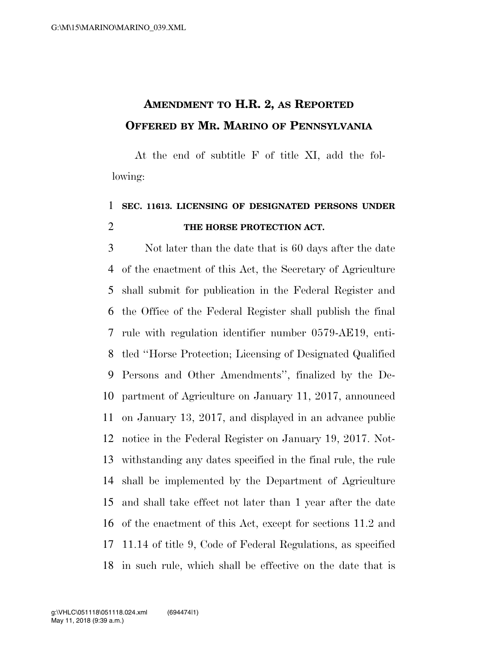## **AMENDMENT TO H.R. 2, AS REPORTED OFFERED BY MR. MARINO OF PENNSYLVANIA**

At the end of subtitle F of title XI, add the following:

## **SEC. 11613. LICENSING OF DESIGNATED PERSONS UNDER THE HORSE PROTECTION ACT.**

 Not later than the date that is 60 days after the date of the enactment of this Act, the Secretary of Agriculture shall submit for publication in the Federal Register and the Office of the Federal Register shall publish the final rule with regulation identifier number 0579-AE19, enti- tled ''Horse Protection; Licensing of Designated Qualified Persons and Other Amendments'', finalized by the De- partment of Agriculture on January 11, 2017, announced on January 13, 2017, and displayed in an advance public notice in the Federal Register on January 19, 2017. Not- withstanding any dates specified in the final rule, the rule shall be implemented by the Department of Agriculture and shall take effect not later than 1 year after the date of the enactment of this Act, except for sections 11.2 and 11.14 of title 9, Code of Federal Regulations, as specified in such rule, which shall be effective on the date that is